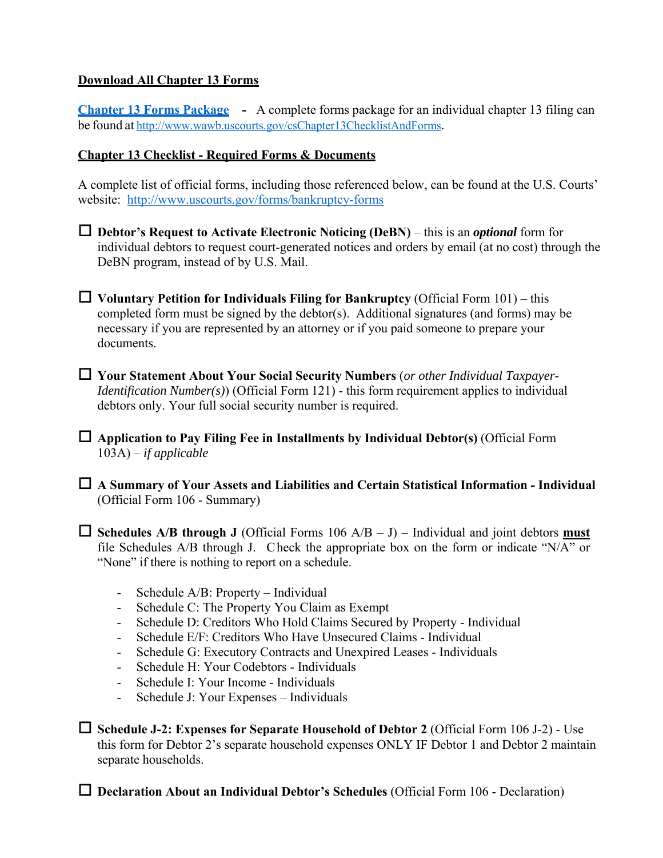## **Download All Chapter 13 Forms**

**Chapter 13 Forms Package -** A complete forms package for an individual chapter 13 filing can be found at http://www.wawb.uscourts.gov/csChapter13ChecklistAndForms.

## **Chapter 13 Checklist - Required Forms & Documents**

A complete list of official forms, including those referenced below, can be found at the U.S. Courts' website: http://www.uscourts.gov/forms/bankruptcy-forms

- **Debtor's Request to Activate Electronic Noticing (DeBN)**  this is an *optional* form for individual debtors to request court-generated notices and orders by email (at no cost) through the DeBN program, instead of by U.S. Mail.
- $\Box$  Voluntary Petition for Individuals Filing for Bankruptcy (Official Form 101) this completed form must be signed by the debtor(s). Additional signatures (and forms) may be necessary if you are represented by an attorney or if you paid someone to prepare your documents.
- **Your Statement About Your Social Security Numbers** (*or other Individual Taxpayer-Identification Number(s)*) (Official Form 121) - this form requirement applies to individual debtors only. Your full social security number is required.

 **Application to Pay Filing Fee in Installments by Individual Debtor(s)** (Official Form 103A) – *if applicable*

 **A Summary of Your Assets and Liabilities and Certain Statistical Information - Individual** (Official Form 106 - Summary)

 $\Box$  **Schedules A/B through J** (Official Forms 106 A/B – J) – Individual and joint debtors **must** file Schedules A/B through J. Check the appropriate box on the form or indicate "N/A" or "None" if there is nothing to report on a schedule.

- Schedule A/B: Property Individual
- Schedule C: The Property You Claim as Exempt
- Schedule D: Creditors Who Hold Claims Secured by Property Individual
- Schedule E/F: Creditors Who Have Unsecured Claims Individual
- Schedule G: Executory Contracts and Unexpired Leases Individuals
- Schedule H: Your Codebtors Individuals
- Schedule I: Your Income Individuals
- Schedule J: Your Expenses Individuals

 **Schedule J-2: Expenses for Separate Household of Debtor 2** (Official Form 106 J-2) - Use this form for Debtor 2's separate household expenses ONLY IF Debtor 1 and Debtor 2 maintain separate households.

□ **Declaration About an Individual Debtor's Schedules** (Official Form 106 - Declaration)